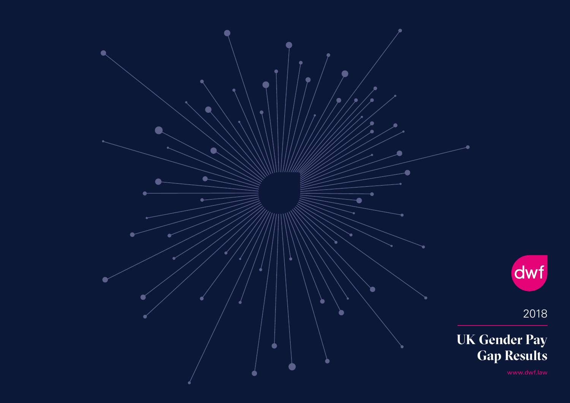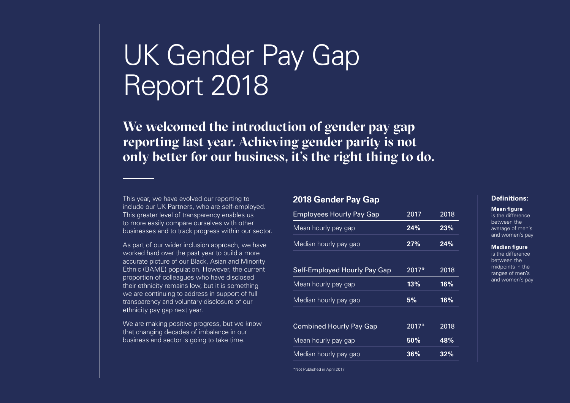### UK Gender Pay Gap Report 2018

**We welcomed the introduction of gender pay gap reporting last year. Achieving gender parity is not only better for our business, it's the right thing to do.**

This year, we have evolved our reporting to include our UK Partners, who are self-employed. This greater level of transparency enables us to more easily compare ourselves with other businesses and to track progress within our sector.

As part of our wider inclusion approach, we have worked hard over the past year to build a more accurate picture of our Black, Asian and Minority Ethnic (BAME) population. However, the current proportion of colleagues who have disclosed their ethnicity remains low, but it is something we are continuing to address in support of full transparency and voluntary disclosure of our ethnicity pay gap next year.

We are making positive progress, but we know that changing decades of imbalance in our business and sector is going to take time.

### **2018 Gender Pay Gap**

| <b>Employees Hourly Pay Gap</b> | 2017    | 2018 |
|---------------------------------|---------|------|
| Mean hourly pay gap             | 24%     | 23%  |
| Median hourly pay gap           | 27%     | 24%  |
|                                 |         |      |
| Self-Employed Hourly Pay Gap    | $2017*$ | 2018 |
| Mean hourly pay gap             | 13%     | 16%  |
| Median hourly pay gap           | 5%      | 16%  |
|                                 |         |      |
| <b>Combined Hourly Pay Gap</b>  | $2017*$ | 2018 |
| Mean hourly pay gap             | 50%     | 48%  |
| Median hourly pay gap           | 36%     | 32%  |

\*Not Published in April 2017

#### **Definitions:**

**Mean figure** is the difference

between the average of men's and women's pay

#### **Median figure**

is the difference between the midpoints in the ranges of men's and women's pay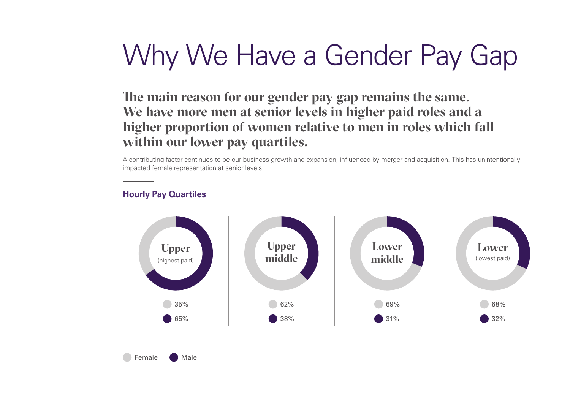# Why We Have a Gender Pay Gap

**The main reason for our gender pay gap remains the same. We have more men at senior levels in higher paid roles and a higher proportion of women relative to men in roles which fall within our lower pay quartiles.** 

A contributing factor continues to be our business growth and expansion, influenced by merger and acquisition. This has unintentionally impacted female representation at senior levels.

### **Hourly Pay Quartiles**

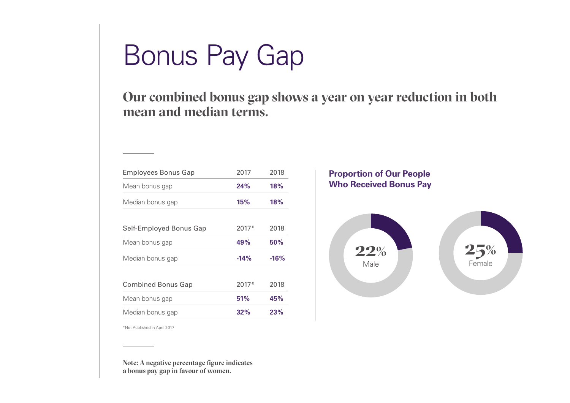# Bonus Pay Gap

**Our combined bonus gap shows a year on year reduction in both mean and median terms.**

| <b>Employees Bonus Gap</b> | 2017    | 2018   |
|----------------------------|---------|--------|
| Mean bonus gap             | 24%     | 18%    |
| Median bonus gap           | 15%     | 18%    |
|                            |         |        |
| Self-Employed Bonus Gap    | $2017*$ | 2018   |
| Mean bonus gap             | 49%     | 50%    |
| Median bonus gap           | $-14%$  | $-16%$ |
| <b>Combined Bonus Gap</b>  | $2017*$ | 2018   |
| Mean bonus gap             | 51%     | 45%    |
| Median bonus gap           | 32%     | 23%    |

### **Proportion of Our People Who Received Bonus Pay**



\*Not Published in April 2017

**Note: A negative percentage figure indicates a bonus pay gap in favour of women.**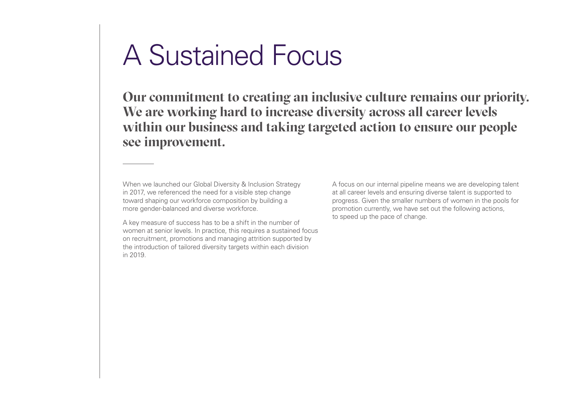## A Sustained Focus

**Our commitment to creating an inclusive culture remains our priority. We are working hard to increase diversity across all career levels within our business and taking targeted action to ensure our people see improvement.**

When we launched our Global Diversity & Inclusion Strategy in 2017, we referenced the need for a visible step change toward shaping our workforce composition by building a more gender-balanced and diverse workforce.

A key measure of success has to be a shift in the number of women at senior levels. In practice, this requires a sustained focus on recruitment, promotions and managing attrition supported by the introduction of tailored diversity targets within each division in 2019.

A focus on our internal pipeline means we are developing talent at all career levels and ensuring diverse talent is supported to progress. Given the smaller numbers of women in the pools for promotion currently, we have set out the following actions, to speed up the pace of change.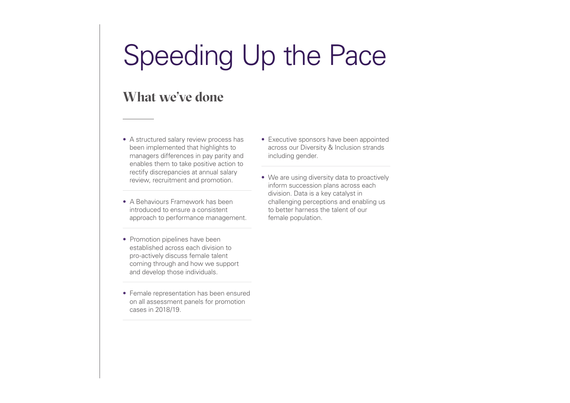## Speeding Up the Pace

### **What we've done**

- A structured salary review process has been implemented that highlights to managers differences in pay parity and enables them to take positive action to rectify discrepancies at annual salary review, recruitment and promotion.
- A Behaviours Framework has been introduced to ensure a consistent approach to performance management.
- Executive sponsors have been appointed across our Diversity & Inclusion strands including gender.
- We are using diversity data to proactively inform succession plans across each division. Data is a key catalyst in challenging perceptions and enabling us to better harness the talent of our female population.
- Promotion pipelines have been established across each division to pro-actively discuss female talent coming through and how we support and develop those individuals.
- Female representation has been ensured on all assessment panels for promotion cases in 2018/19.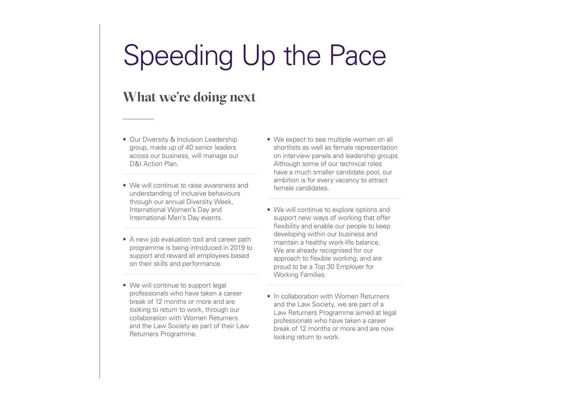## Speeding Up the Pace

### **What we're doing next**

- Our Diversity & Inclusion Leadership group, made up of 40 senior leaders across our business, will manage our D&I Action Plan.
- We will continue to raise awareness and understanding of inclusive behaviours through our annual Diversity Week, International Women's Day and International Men's Day events.
- A new job evaluation tool and career path programme is being introduced in 2019 to support and reward all employees based on their skills and performance.
- We will continue to support legal professionals who have taken a career break of 12 months or more and are looking to return to work, through our collaboration with Women Returners and the Law Society as part of their Law Returners Programme.
- We expect to see multiple women on all shortlists as well as female representation on interview panels and leadership groups. Although some of our technical roles have a much smaller candidate pool, our ambition is for every vacancy to attract female candidates.
- We will continue to explore options and support new ways of working that offer flexibility and enable our people to keep developing within our business and maintain a healthy work-life balance. We are already recognised for our approach to flexible working, and are proud to be a Top 30 Employer for Working Families.
- In collaboration with Women Returners and the Law Society, we are part of a Law Returners Programme aimed at legal professionals who have taken a career break of 12 months or more and are now looking return to work.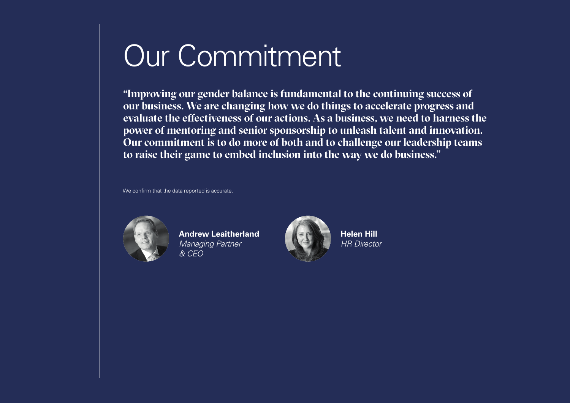# Our Commitment

**"Improving our gender balance is fundamental to the continuing success of our business. We are changing how we do things to accelerate progress and evaluate the effectiveness of our actions. As a business, we need to harness the power of mentoring and senior sponsorship to unleash talent and innovation. Our commitment is to do more of both and to challenge our leadership teams to raise their game to embed inclusion into the way we do business."**

We confirm that the data reported is accurate.



**Andrew Leaitherland**  *Managing Partner & CEO*



**Helen Hill**  *HR Director*